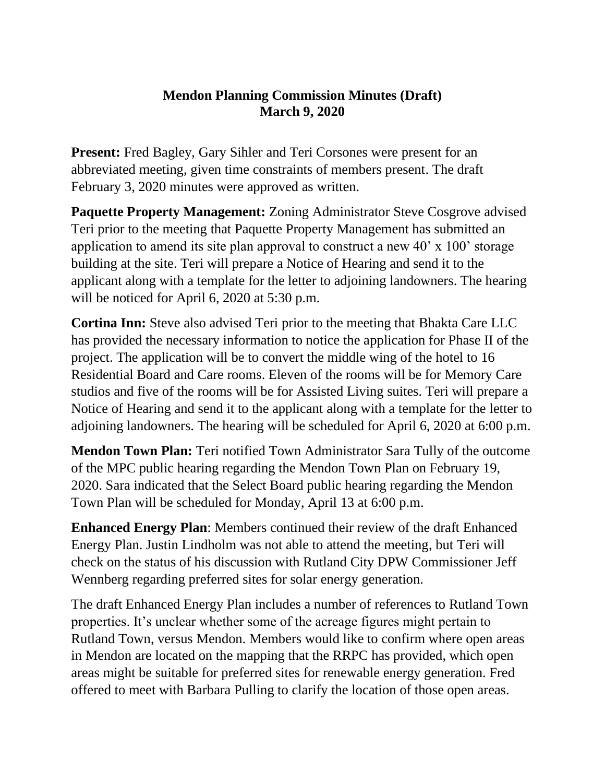## **Mendon Planning Commission Minutes (Draft) March 9, 2020**

**Present:** Fred Bagley, Gary Sihler and Teri Corsones were present for an abbreviated meeting, given time constraints of members present. The draft February 3, 2020 minutes were approved as written.

**Paquette Property Management:** Zoning Administrator Steve Cosgrove advised Teri prior to the meeting that Paquette Property Management has submitted an application to amend its site plan approval to construct a new 40' x 100' storage building at the site. Teri will prepare a Notice of Hearing and send it to the applicant along with a template for the letter to adjoining landowners. The hearing will be noticed for April 6, 2020 at 5:30 p.m.

**Cortina Inn:** Steve also advised Teri prior to the meeting that Bhakta Care LLC has provided the necessary information to notice the application for Phase II of the project. The application will be to convert the middle wing of the hotel to 16 Residential Board and Care rooms. Eleven of the rooms will be for Memory Care studios and five of the rooms will be for Assisted Living suites. Teri will prepare a Notice of Hearing and send it to the applicant along with a template for the letter to adjoining landowners. The hearing will be scheduled for April 6, 2020 at 6:00 p.m.

**Mendon Town Plan:** Teri notified Town Administrator Sara Tully of the outcome of the MPC public hearing regarding the Mendon Town Plan on February 19, 2020. Sara indicated that the Select Board public hearing regarding the Mendon Town Plan will be scheduled for Monday, April 13 at 6:00 p.m.

**Enhanced Energy Plan**: Members continued their review of the draft Enhanced Energy Plan. Justin Lindholm was not able to attend the meeting, but Teri will check on the status of his discussion with Rutland City DPW Commissioner Jeff Wennberg regarding preferred sites for solar energy generation.

The draft Enhanced Energy Plan includes a number of references to Rutland Town properties. It's unclear whether some of the acreage figures might pertain to Rutland Town, versus Mendon. Members would like to confirm where open areas in Mendon are located on the mapping that the RRPC has provided, which open areas might be suitable for preferred sites for renewable energy generation. Fred offered to meet with Barbara Pulling to clarify the location of those open areas.